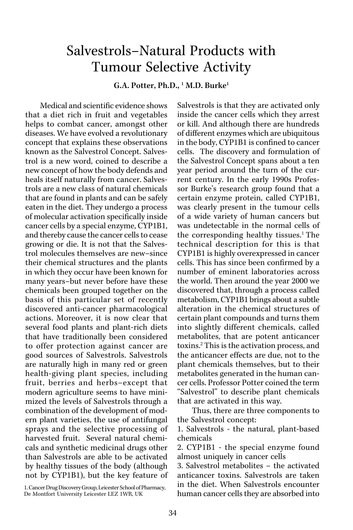## Salvestrols–Natural Products with Tumour Selective Activity

G.A. Potter, Ph.D., <sup>1</sup> M.D. Burke<sup>1</sup>

Medical and scientific evidence shows that a diet rich in fruit and vegetables helps to combat cancer, amongst other diseases. We have evolved a revolutionary concept that explains these observations known as the Salvestrol Concept. Salvestrol is a new word, coined to describe a new concept of how the body defends and heals itself naturally from cancer. Salvestrols are a new class of natural chemicals that are found in plants and can be safely eaten in the diet. They undergo a process of molecular activation specifically inside cancer cells by a special enzyme, CYP1B1, and thereby cause the cancer cells to cease growing or die. It is not that the Salvestrol molecules themselves are new–since their chemical structures and the plants in which they occur have been known for many years–but never before have these chemicals been grouped together on the basis of this particular set of recently discovered anti-cancer pharmacological actions. Moreover, it is now clear that several food plants and plant-rich diets that have traditionally been considered to offer protection against cancer are good sources of Salvestrols. Salvestrols are naturally high in many red or green health-giving plant species, including fruit, berries and herbs–except that modern agriculture seems to have minimized the levels of Salvestrols through a combination of the development of modern plant varieties, the use of antifungal sprays and the selective processing of harvested fruit. Several natural chemicals and synthetic medicinal drugs other than Salvestrols are able to be activated by healthy tissues of the body (although not by CYP1B1), but the key feature of

1. Cancer Drug Discovery Group, Leicester School of Pharmacy, De Montfort University Leicester LEZ 1WR, UK

Salvestrols is that they are activated only inside the cancer cells which they arrest or kill. And although there are hundreds of different enzymes which are ubiquitous in the body, CYP1B1 is confined to cancer cells. The discovery and formulation of the Salvestrol Concept spans about a ten year period around the turn of the current century. In the early 1990s Professor Burke's research group found that a certain enzyme protein, called CYP1B1, was clearly present in the tumour cells of a wide variety of human cancers but was undetectable in the normal cells of the corresponding healthy tissues.<sup>1</sup> The technical description for this is that CYP1B1 is highly overexpressed in cancer cells. This has since been confirmed by a number of eminent laboratories across the world. Then around the year 2000 we discovered that, through a process called metabolism, CYP1B1 brings about a subtle alteration in the chemical structures of certain plant compounds and turns them into slightly different chemicals, called metabolites, that are potent anticancer toxins.2 This is the activation process, and the anticancer effects are due, not to the plant chemicals themselves, but to their metabolites generated in the human cancer cells. Professor Potter coined the term "Salvestrol" to describe plant chemicals that are activated in this way.

Thus, there are three components to the Salvestrol concept:

1. Salvestrols - the natural, plant-based chemicals

2. CYP1B1 - the special enzyme found almost uniquely in cancer cells

3. Salvestrol metabolites – the activated anticancer toxins. Salvestrols are taken in the diet. When Salvestrols encounter human cancer cells they are absorbed into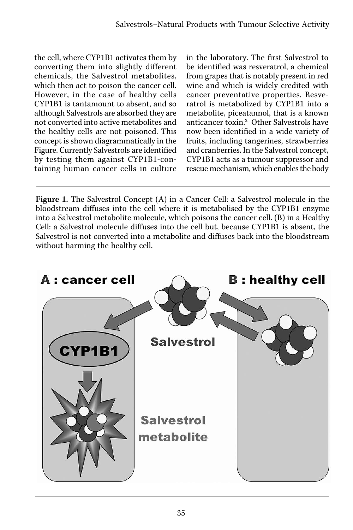the cell, where CYP1B1 activates them by converting them into slightly different chemicals, the Salvestrol metabolites, which then act to poison the cancer cell. However, in the case of healthy cells CYP1B1 is tantamount to absent, and so although Salvestrols are absorbed they are not converted into active metabolites and the healthy cells are not poisoned. This concept is shown diagrammatically in the Figure. Currently Salvestrols are identified by testing them against CYP1B1-containing human cancer cells in culture

in the laboratory. The first Salvestrol to be identified was resveratrol, a chemical from grapes that is notably present in red wine and which is widely credited with cancer preventative properties. Resveratrol is metabolized by CYP1B1 into a metabolite, piceatannol, that is a known anticancer toxin.<sup>2</sup> Other Salvestrols have now been identified in a wide variety of fruits, including tangerines, strawberries and cranberries. In the Salvestrol concept, CYP1B1 acts as a tumour suppressor and rescue mechanism, which enables the body

Figure 1. The Salvestrol Concept (A) in a Cancer Cell: a Salvestrol molecule in the bloodstream diffuses into the cell where it is metabolised by the CYP1B1 enzyme into a Salvestrol metabolite molecule, which poisons the cancer cell. (B) in a Healthy Cell: a Salvestrol molecule diffuses into the cell but, because CYP1B1 is absent, the Salvestrol is not converted into a metabolite and diffuses back into the bloodstream without harming the healthy cell.